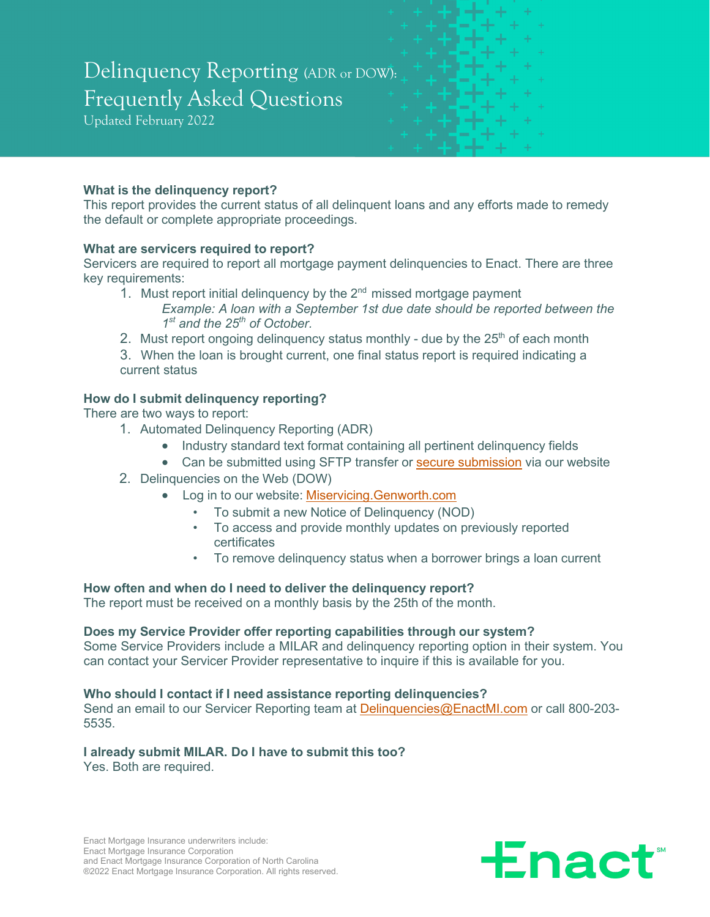# Delinquency Reporting (ADR or DOW): Frequently Asked Questions

Updated February 2022

# **What is the delinquency report?**

This report provides the current status of all delinquent loans and any efforts made to remedy the default or complete appropriate proceedings.

#### **What are servicers required to report?**

Servicers are required to report all mortgage payment delinquencies to Enact. There are three key requirements:

- 1. Must report initial delinquency by the  $2<sup>nd</sup>$  missed mortgage payment *Example: A loan with a September 1st due date should be reported between the 1st and the 25th of October.*
- 2. Must report ongoing delinguency status monthly due by the  $25<sup>th</sup>$  of each month

3. When the loan is brought current, one final status report is required indicating a current status

# **How do I submit delinquency reporting?**

There are two ways to report:

- 1. Automated Delinquency Reporting (ADR)
	- Industry standard text format containing all pertinent delinquency fields
	- Can be submitted using SFTP transfer or [secure submission](https://secure-submission.miservicing.genworth.com/securesubmission/submission) via our website
- 2. Delinquencies on the Web (DOW)
	- Log in to our website: [Miservicing.Genworth.com](https://miservicing.genworth.com/)
		- To submit a new Notice of Delinquency (NOD)
		- To access and provide monthly updates on previously reported certificates
		- To remove delinquency status when a borrower brings a loan current

# **How often and when do I need to deliver the delinquency report?**

The report must be received on a monthly basis by the 25th of the month.

#### **Does my Service Provider offer reporting capabilities through our system?**

Some Service Providers include a MILAR and delinquency reporting option in their system. You can contact your Servicer Provider representative to inquire if this is available for you.

#### **Who should I contact if I need assistance reporting delinquencies?**

Send an email to our Servicer Reporting team at Delinguencies@EnactMI.com or call 800-203-5535.

# **I already submit MILAR. Do I have to submit this too?**

Yes. Both are required.